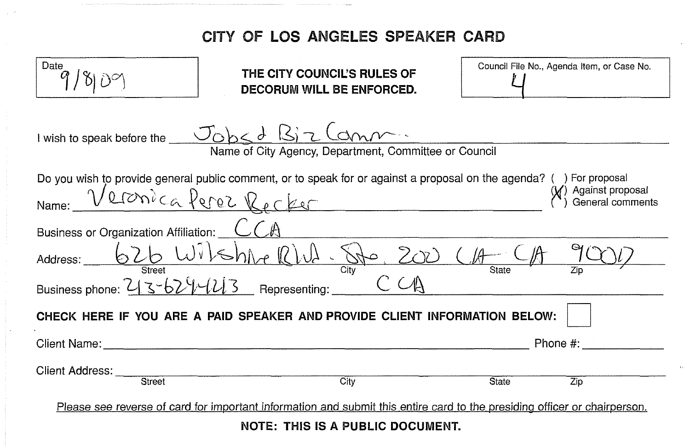## **CITY OF LOS ANGELES SPEAKER CARD**

| Date                                                                                                                      | THE CITY COUNCIL'S RULES OF<br>DECORUM WILL BE ENFORCED.                                                               | Council File No., Agenda Item, or Case No. |  |  |  |
|---------------------------------------------------------------------------------------------------------------------------|------------------------------------------------------------------------------------------------------------------------|--------------------------------------------|--|--|--|
|                                                                                                                           | I wish to speak before the $J_{\text{obs}} d \text{ B}$ 7 Com<br>Name of City Agency, Department, Committee or Council |                                            |  |  |  |
| Do you wish to provide general public comment, or to speak for or against a proposal on the agenda? () For proposal       |                                                                                                                        |                                            |  |  |  |
| Against proposal<br>General comments<br>Veronica Perez Recker<br>Name:                                                    |                                                                                                                        |                                            |  |  |  |
| Business or Organization Affiliation:                                                                                     |                                                                                                                        |                                            |  |  |  |
|                                                                                                                           | Address: 626 Wilshire RW. Ste. 200                                                                                     | $(A -$                                     |  |  |  |
| Business phone: 213-629-1213 Representing:                                                                                |                                                                                                                        |                                            |  |  |  |
| CHECK HERE IF YOU ARE A PAID SPEAKER AND PROVIDE CLIENT INFORMATION BELOW:                                                |                                                                                                                        |                                            |  |  |  |
| Client Name:                                                                                                              |                                                                                                                        | Phone #:                                   |  |  |  |
| Client Address:                                                                                                           |                                                                                                                        |                                            |  |  |  |
| Street                                                                                                                    | $\overline{City}$                                                                                                      | <b>State</b><br>Zip                        |  |  |  |
| Please see reverse of card for important information and submit this entire card to the presiding officer or chairperson. |                                                                                                                        |                                            |  |  |  |
| NATE. THA IO A BUDI IO BOOD BENT                                                                                          |                                                                                                                        |                                            |  |  |  |

**NOTE: THIS IS A PUBLIC DOCUMENT.**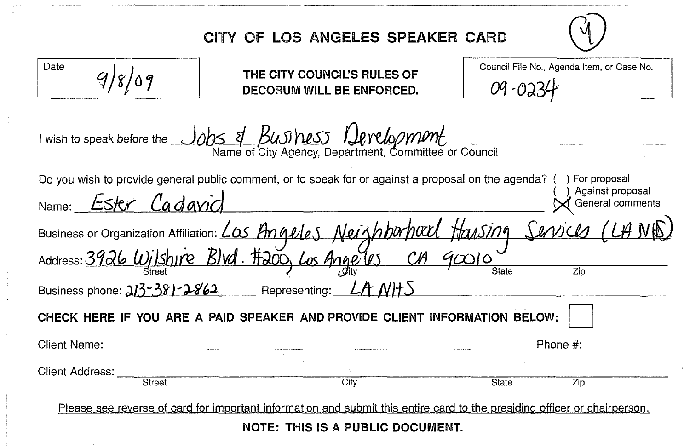|                                                                                                                                                                                      | CITY OF LOS ANGELES SPEAKER CARD                         |      |              |                                            |  |  |
|--------------------------------------------------------------------------------------------------------------------------------------------------------------------------------------|----------------------------------------------------------|------|--------------|--------------------------------------------|--|--|
| Date                                                                                                                                                                                 | THE CITY COUNCIL'S RULES OF<br>DECORUM WILL BE ENFORCED. |      | 09-023       | Council File No., Agenda Item, or Case No. |  |  |
| I wish to speak before the Jobs of BUSINESS Levelopment<br>Name of City Agency, Department, Committee or Council                                                                     |                                                          |      |              |                                            |  |  |
| Do you wish to provide general public comment, or to speak for or against a proposal on the agenda? () For proposal<br>) Against proposal<br>Name: Ester Cadavid<br>General comments |                                                          |      |              |                                            |  |  |
| Business or Organization Affiliation: <u>Los Angeles</u> Neighburhard Hausing Services (LAND)<br>Address: 3926 Wilshure Blvd. #200 Los Angeles Ch 90010                              |                                                          |      |              |                                            |  |  |
| Business phone: 213-381-2862 Representing: LA NHS                                                                                                                                    |                                                          |      |              |                                            |  |  |
| CHECK HERE IF YOU ARE A PAID SPEAKER AND PROVIDE CLIENT INFORMATION BELOW:                                                                                                           |                                                          |      |              |                                            |  |  |
| Client Name:                                                                                                                                                                         |                                                          |      |              | Phone $#$ :                                |  |  |
|                                                                                                                                                                                      |                                                          | City | <b>State</b> | Zip                                        |  |  |
| Please see reverse of card for important information and submit this entire card to the presiding officer or chairperson.                                                            |                                                          |      |              |                                            |  |  |
| NOTE: THIS IS A PUBLIC DOCUMENT.                                                                                                                                                     |                                                          |      |              |                                            |  |  |